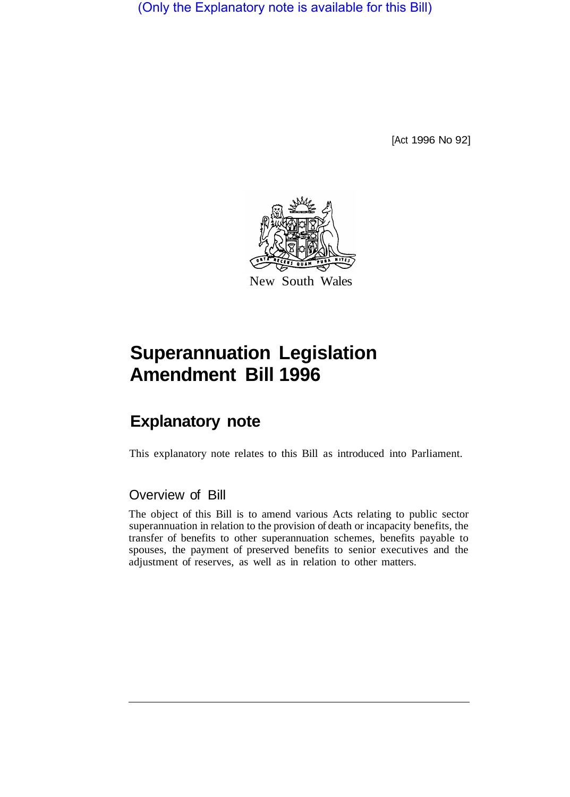(Only the Explanatory note is available for this Bill)

[Act 1996 No 92]



# **Superannuation Legislation Amendment Bill 1996**

## **Explanatory note**

This explanatory note relates to this Bill as introduced into Parliament.

## Overview of Bill

The object of this Bill is to amend various Acts relating to public sector superannuation in relation to the provision of death or incapacity benefits, the transfer of benefits to other superannuation schemes, benefits payable to spouses, the payment of preserved benefits to senior executives and the adjustment of reserves, as well as in relation to other matters.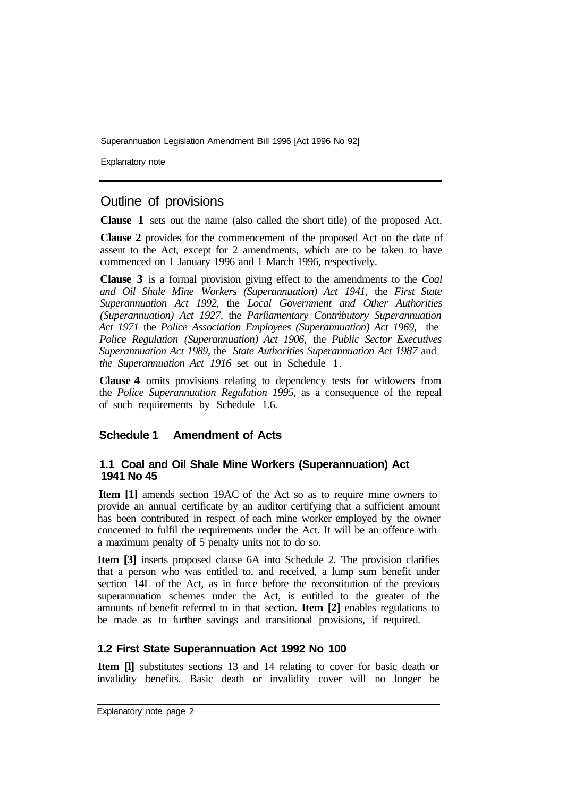Explanatory note

## Outline of provisions

**Clause 1** sets out the name (also called the short title) of the proposed Act.

**Clause 2** provides for the commencement of the proposed Act on the date of assent to the Act, except for 2 amendments, which are to be taken to have commenced on 1 January 1996 and 1 March 1996, respectively.

**Clause 3** is a formal provision giving effect to the amendments to the *Coal and Oil Shale Mine Workers (Superannuation) Act 1941,* the *First State Superannuation Act 1992,* the *Local Government and Other Authorities (Superannuation) Act 1927,* the *Parliamentary Contributory Superannuation Act 1971* the *Police Association Employees (Superannuation) Act 1969,* the *Police Regulation (Superannuation) Act 1906,* the *Public Sector Executives Superannuation Act 1989,* the *State Authorities Superannuation Act 1987* and *the Superannuation Act 1916* set out in Schedule 1

**Clause 4** omits provisions relating to dependency tests for widowers from the *Police Superannuation Regulation 1995,* as a consequence of the repeal of such requirements by Schedule 1.6.

#### **Schedule 1 Amendment of Acts**

#### **1.1 Coal and Oil Shale Mine Workers (Superannuation) Act 1941 No 45**

**Item [1]** amends section 19AC of the Act so as to require mine owners to provide an annual certificate by an auditor certifying that a sufficient amount has been contributed in respect of each mine worker employed by the owner concerned to fulfil the requirements under the Act. It will be an offence with a maximum penalty of 5 penalty units not to do so.

**Item [3]** inserts proposed clause 6A into Schedule 2. The provision clarifies that a person who was entitled to, and received, a lump sum benefit under section 14L of the Act, as in force before the reconstitution of the previous superannuation schemes under the Act, is entitled to the greater of the amounts of benefit referred to in that section. **Item [2]** enables regulations to be made as to further savings and transitional provisions, if required.

#### **1.2 First State Superannuation Act 1992 No 100**

**Item [l]** substitutes sections 13 and 14 relating to cover for basic death or invalidity benefits. Basic death or invalidity cover will no longer be

Explanatory note page 2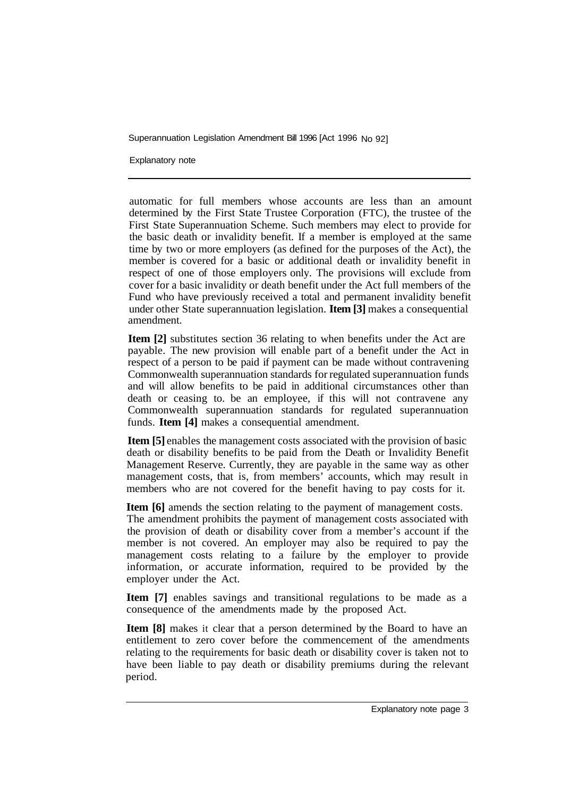Explanatory note

automatic for full members whose accounts are less than an amount determined by the First State Trustee Corporation (FTC), the trustee of the First State Superannuation Scheme. Such members may elect to provide for the basic death or invalidity benefit. If a member is employed at the same time by two or more employers (as defined for the purposes of the Act), the member is covered for a basic or additional death or invalidity benefit in respect of one of those employers only. The provisions will exclude from cover for a basic invalidity or death benefit under the Act full members of the Fund who have previously received a total and permanent invalidity benefit under other State superannuation legislation. **Item [3]** makes a consequential amendment.

**Item [2]** substitutes section 36 relating to when benefits under the Act are payable. The new provision will enable part of a benefit under the Act in respect of a person to be paid if payment can be made without contravening Commonwealth superannuation standards for regulated superannuation funds and will allow benefits to be paid in additional circumstances other than death or ceasing to. be an employee, if this will not contravene any Commonwealth superannuation standards for regulated superannuation funds. **Item [4]** makes a consequential amendment.

**Item [5]** enables the management costs associated with the provision of basic death or disability benefits to be paid from the Death or Invalidity Benefit Management Reserve. Currently, they are payable in the same way as other management costs, that is, from members' accounts, which may result in members who are not covered for the benefit having to pay costs for it.

**Item [6]** amends the section relating to the payment of management costs. The amendment prohibits the payment of management costs associated with the provision of death or disability cover from a member's account if the member is not covered. An employer may also be required to pay the management costs relating to a failure by the employer to provide information, or accurate information, required to be provided by the employer under the Act.

**Item [7]** enables savings and transitional regulations to be made as a consequence of the amendments made by the proposed Act.

**Item [8]** makes it clear that a person determined by the Board to have an entitlement to zero cover before the commencement of the amendments relating to the requirements for basic death or disability cover is taken not to have been liable to pay death or disability premiums during the relevant period.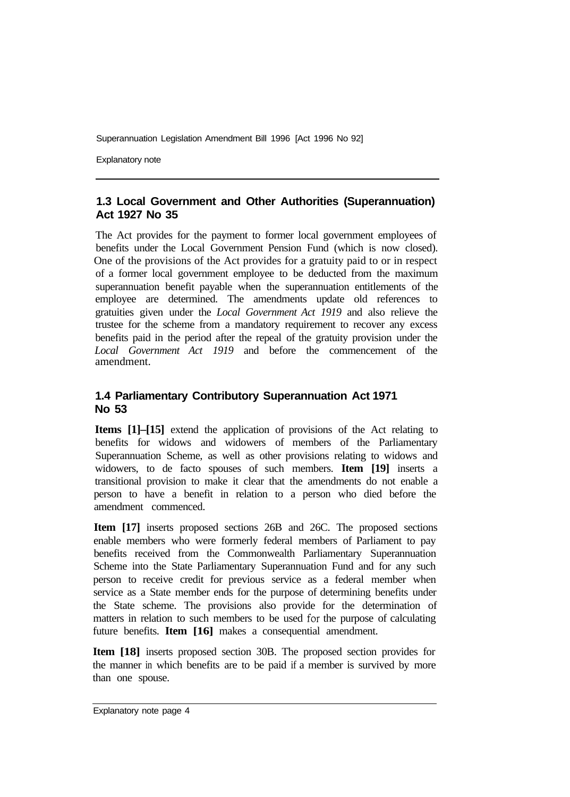Explanatory note

## **1.3 Local Government and Other Authorities (Superannuation) Act 1927 No 35**

The Act provides for the payment to former local government employees of benefits under the Local Government Pension Fund (which is now closed). One of the provisions of the Act provides for a gratuity paid to or in respect of a former local government employee to be deducted from the maximum superannuation benefit payable when the superannuation entitlements of the employee are determined. The amendments update old references to gratuities given under the *Local Government Act 1919* and also relieve the trustee for the scheme from a mandatory requirement to recover any excess benefits paid in the period after the repeal of the gratuity provision under the *Local Government Act 1919* and before the commencement of the amendment.

## **1.4 Parliamentary Contributory Superannuation Act 1971 No 53**

**Items [1]–[15]** extend the application of provisions of the Act relating to benefits for widows and widowers of members of the Parliamentary Superannuation Scheme, as well as other provisions relating to widows and widowers, to de facto spouses of such members. **Item [19]** inserts a transitional provision to make it clear that the amendments do not enable a person to have a benefit in relation to a person who died before the amendment commenced.

**Item [17]** inserts proposed sections 26B and 26C. The proposed sections enable members who were formerly federal members of Parliament to pay benefits received from the Commonwealth Parliamentary Superannuation Scheme into the State Parliamentary Superannuation Fund and for any such person to receive credit for previous service as a federal member when service as a State member ends for the purpose of determining benefits under the State scheme. The provisions also provide for the determination of matters in relation to such members to be used for the purpose of calculating future benefits. **Item [16]** makes a consequential amendment.

**Item [18]** inserts proposed section 30B. The proposed section provides for the manner in which benefits are to be paid if a member is survived by more than one spouse.

Explanatory note page 4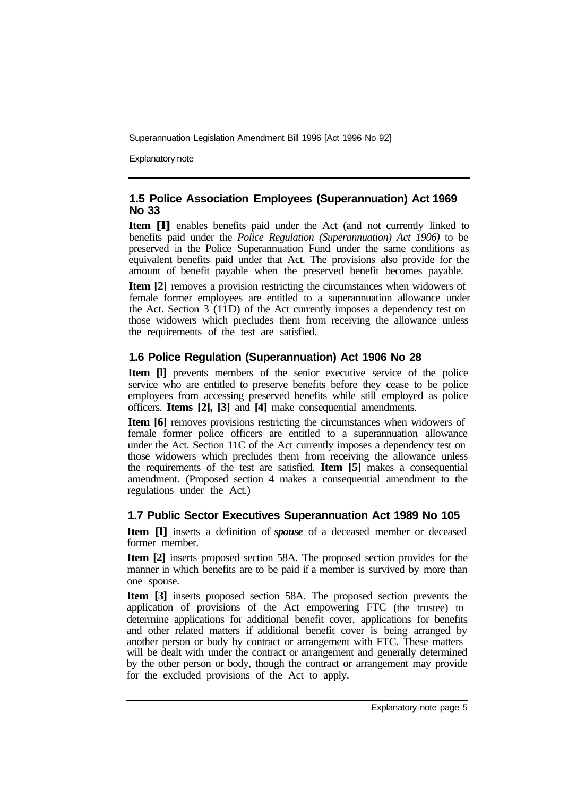Explanatory note

## **1.5 Police Association Employees (Superannuation) Act 1969 No 33**

**Item [l]** enables benefits paid under the Act (and not currently linked to benefits paid under the *Police Regulation (Superannuation) Act 1906)* to be preserved in the Police Superannuation Fund under the same conditions as equivalent benefits paid under that Act. The provisions also provide for the amount of benefit payable when the preserved benefit becomes payable.

**Item [2]** removes a provision restricting the circumstances when widowers of female former employees are entitled to a superannuation allowance under the Act. Section  $3(11D)$  of the Act currently imposes a dependency test on those widowers which precludes them from receiving the allowance unless the requirements of the test are satisfied.

## **1.6 Police Regulation (Superannuation) Act 1906 No 28**

**Item [I]** prevents members of the senior executive service of the police service who are entitled to preserve benefits before they cease to be police employees from accessing preserved benefits while still employed as police officers. **Items [2], [3]** and **[4]** make consequential amendments.

**Item [6]** removes provisions restricting the circumstances when widowers of female former police officers are entitled to a superannuation allowance under the Act. Section 11C of the Act currently imposes a dependency test on those widowers which precludes them from receiving the allowance unless the requirements of the test are satisfied. **Item [5]** makes a consequential amendment. (Proposed section 4 makes a consequential amendment to the regulations under the Act.)

## **1.7 Public Sector Executives Superannuation Act 1989 No 105**

**Item [l]** inserts a definition of *spouse* of a deceased member or deceased former member.

**Item [2]** inserts proposed section 58A. The proposed section provides for the manner in which benefits are to be paid if a member is survived by more than one spouse.

**Item [3]** inserts proposed section 58A. The proposed section prevents the application of provisions of the Act empowering FTC (the trustee) to determine applications for additional benefit cover, applications for benefits and other related matters if additional benefit cover is being arranged by another person or body by contract or arrangement with FTC. These matters will be dealt with under the contract or arrangement and generally determined by the other person or body, though the contract or arrangement may provide for the excluded provisions of the Act to apply.